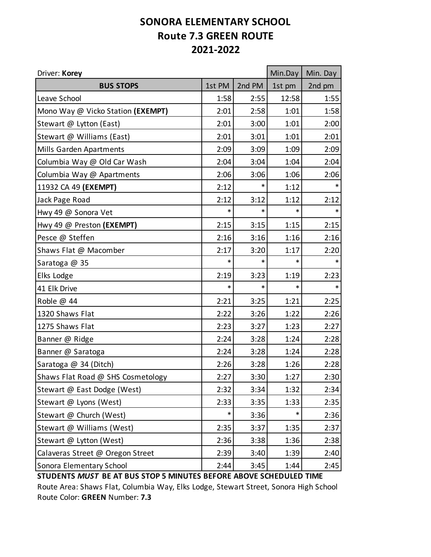## **SONORA ELEMENTARY SCHOOL Route 7.3 GREEN ROUTE 2021-2022**

| Driver: Korey                     |        |        | Min.Day | Min. Day |
|-----------------------------------|--------|--------|---------|----------|
| <b>BUS STOPS</b>                  | 1st PM | 2nd PM | 1st pm  | 2nd pm   |
| Leave School                      | 1:58   | 2:55   | 12:58   | 1:55     |
| Mono Way @ Vicko Station (EXEMPT) | 2:01   | 2:58   | 1:01    | 1:58     |
| Stewart @ Lytton (East)           | 2:01   | 3:00   | 1:01    | 2:00     |
| Stewart @ Williams (East)         | 2:01   | 3:01   | 1:01    | 2:01     |
| Mills Garden Apartments           | 2:09   | 3:09   | 1:09    | 2:09     |
| Columbia Way @ Old Car Wash       | 2:04   | 3:04   | 1:04    | 2:04     |
| Columbia Way @ Apartments         | 2:06   | 3:06   | 1:06    | 2:06     |
| 11932 CA 49 (EXEMPT)              | 2:12   | $\ast$ | 1:12    | $\ast$   |
| Jack Page Road                    | 2:12   | 3:12   | 1:12    | 2:12     |
| Hwy 49 @ Sonora Vet               | $\ast$ | $\ast$ | *       | $\ast$   |
| Hwy 49 @ Preston (EXEMPT)         | 2:15   | 3:15   | 1:15    | 2:15     |
| Pesce @ Steffen                   | 2:16   | 3:16   | 1:16    | 2:16     |
| Shaws Flat @ Macomber             | 2:17   | 3:20   | 1:17    | 2:20     |
| Saratoga @ 35                     | $\ast$ | $\ast$ | *       | $\ast$   |
| Elks Lodge                        | 2:19   | 3:23   | 1:19    | 2:23     |
| 41 Elk Drive                      | $\ast$ | *      | *       | $\ast$   |
| Roble @ 44                        | 2:21   | 3:25   | 1:21    | 2:25     |
| 1320 Shaws Flat                   | 2:22   | 3:26   | 1:22    | 2:26     |
| 1275 Shaws Flat                   | 2:23   | 3:27   | 1:23    | 2:27     |
| Banner @ Ridge                    | 2:24   | 3:28   | 1:24    | 2:28     |
| Banner @ Saratoga                 | 2:24   | 3:28   | 1:24    | 2:28     |
| Saratoga @ 34 (Ditch)             | 2:26   | 3:28   | 1:26    | 2:28     |
| Shaws Flat Road @ SHS Cosmetology | 2:27   | 3:30   | 1:27    | 2:30     |
| Stewart @ East Dodge (West)       | 2:32   | 3:34   | 1:32    | 2:34     |
| Stewart @ Lyons (West)            | 2:33   | 3:35   | 1:33    | 2:35     |
| Stewart @ Church (West)           | $\ast$ | 3:36   | *       | 2:36     |
| Stewart @ Williams (West)         | 2:35   | 3:37   | 1:35    | 2:37     |
| Stewart @ Lytton (West)           | 2:36   | 3:38   | 1:36    | 2:38     |
| Calaveras Street @ Oregon Street  | 2:39   | 3:40   | 1:39    | 2:40     |
| Sonora Elementary School          | 2:44   | 3:45   | 1:44    | 2:45     |

**STUDENTS** *MUST* **BE AT BUS STOP 5 MINUTES BEFORE ABOVE SCHEDULED TIME**

Route Area: Shaws Flat, Columbia Way, Elks Lodge, Stewart Street, Sonora High School Route Color: **GREEN** Number: **7.3**